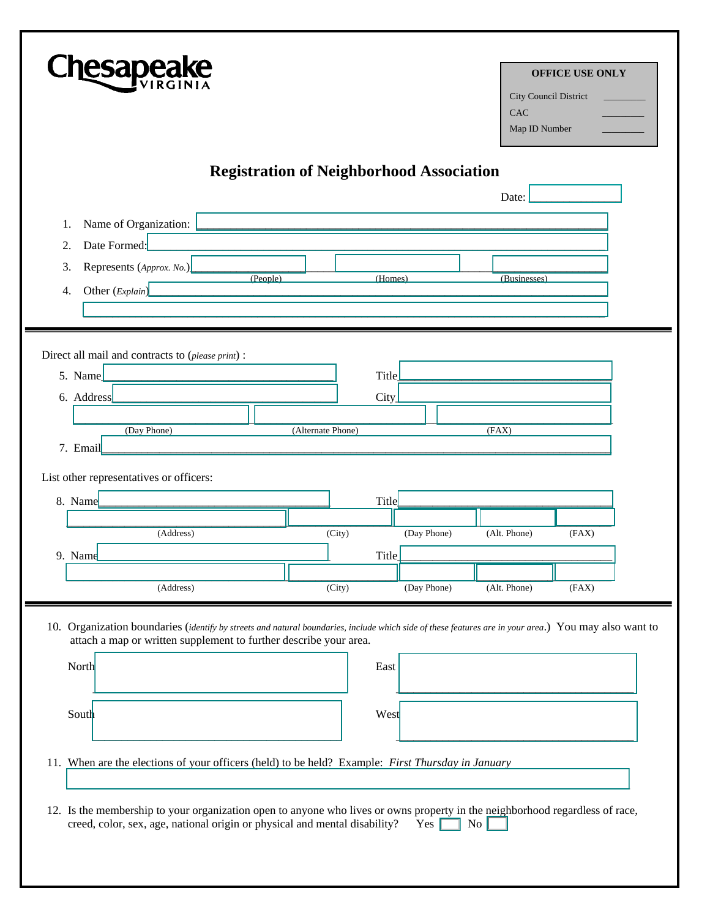| <b>Chesapea</b>                                                                                                                                                                                                            |                                                 | <b>OFFICE USE ONLY</b><br>City Council District<br>CAC<br>Map ID Number |
|----------------------------------------------------------------------------------------------------------------------------------------------------------------------------------------------------------------------------|-------------------------------------------------|-------------------------------------------------------------------------|
|                                                                                                                                                                                                                            | <b>Registration of Neighborhood Association</b> |                                                                         |
|                                                                                                                                                                                                                            |                                                 | Date:                                                                   |
| Name of Organization:<br>1.<br>Date Formed:<br>2.                                                                                                                                                                          |                                                 |                                                                         |
| Represents (Approx. No.)<br>3.                                                                                                                                                                                             |                                                 |                                                                         |
| (People)<br>Other (Explain)<br>4.                                                                                                                                                                                          | (Homes)                                         | (Businesses)                                                            |
|                                                                                                                                                                                                                            |                                                 |                                                                         |
|                                                                                                                                                                                                                            |                                                 |                                                                         |
| Direct all mail and contracts to (please print) :                                                                                                                                                                          |                                                 |                                                                         |
| 5. Name                                                                                                                                                                                                                    | Title                                           |                                                                         |
| 6. Address                                                                                                                                                                                                                 | City                                            |                                                                         |
|                                                                                                                                                                                                                            |                                                 |                                                                         |
| (Day Phone)                                                                                                                                                                                                                | (Alternate Phone)                               | (FAX)                                                                   |
| 7. Email                                                                                                                                                                                                                   |                                                 |                                                                         |
| List other representatives or officers:                                                                                                                                                                                    |                                                 |                                                                         |
| 8. Name                                                                                                                                                                                                                    | Title                                           |                                                                         |
|                                                                                                                                                                                                                            |                                                 |                                                                         |
| (Address)                                                                                                                                                                                                                  | (Day Phone)<br>(City)                           | (Alt. Phone)<br>(FAX)                                                   |
| 9. Name                                                                                                                                                                                                                    | Title                                           |                                                                         |
| (Address)                                                                                                                                                                                                                  | (Day Phone)<br>(City)                           | (Alt. Phone)<br>(FAX)                                                   |
| 10. Organization boundaries (identify by streets and natural boundaries, include which side of these features are in your area.) You may also want to<br>attach a map or written supplement to further describe your area. |                                                 |                                                                         |
| North                                                                                                                                                                                                                      | East                                            |                                                                         |
| South                                                                                                                                                                                                                      | West                                            |                                                                         |
| 11. When are the elections of your officers (held) to be held? Example: First Thursday in January                                                                                                                          |                                                 |                                                                         |
| 12. Is the membership to your organization open to anyone who lives or owns property in the neighborhood regardless of race,                                                                                               |                                                 |                                                                         |